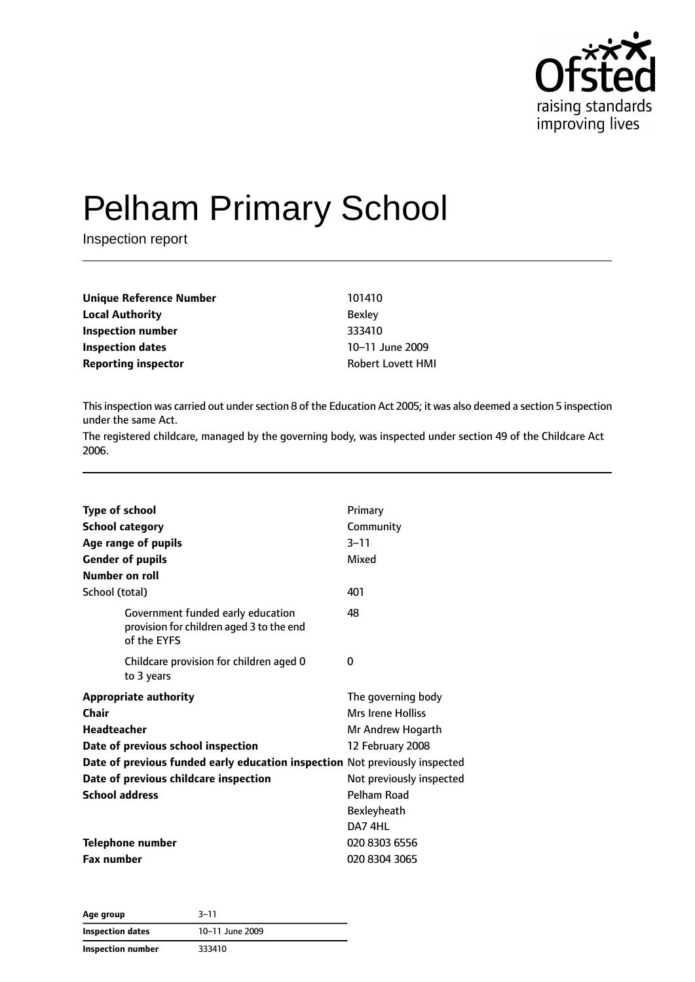

# Pelham Primary School

Inspection report

| Unique Reference Number    | 101410                   |
|----------------------------|--------------------------|
| <b>Local Authority</b>     | <b>Bexley</b>            |
| Inspection number          | 333410                   |
| Inspection dates           | 10-11 June 2009          |
| <b>Reporting inspector</b> | <b>Robert Lovett HMI</b> |

This inspection was carried out under section 8 of the Education Act 2005; it was also deemed a section 5 inspection under the same Act.

The registered childcare, managed by the governing body, was inspected under section 49 of the Childcare Act 2006.

| <b>Type of school</b>                                                                        | Primary                  |
|----------------------------------------------------------------------------------------------|--------------------------|
| <b>School category</b>                                                                       | Community                |
| Age range of pupils                                                                          | $3 - 11$                 |
| <b>Gender of pupils</b>                                                                      | Mixed                    |
| Number on roll                                                                               |                          |
| School (total)                                                                               | 401                      |
| Government funded early education<br>provision for children aged 3 to the end<br>of the EYFS | 48                       |
| Childcare provision for children aged 0<br>to 3 years                                        | 0                        |
| <b>Appropriate authority</b>                                                                 | The governing body       |
| Chair                                                                                        | <b>Mrs Irene Holliss</b> |
| <b>Headteacher</b>                                                                           | Mr Andrew Hogarth        |
| Date of previous school inspection                                                           | 12 February 2008         |
| Date of previous funded early education inspection Not previously inspected                  |                          |
| Date of previous childcare inspection                                                        | Not previously inspected |
| <b>School address</b>                                                                        | Pelham Road              |
|                                                                                              | Bexleyheath              |
|                                                                                              | DA7 4HL                  |
| Telephone number                                                                             | 020 8303 6556            |
| <b>Fax number</b>                                                                            | 020 8304 3065            |

| Age group         | $3 - 11$        |  |
|-------------------|-----------------|--|
| Inspection dates  | 10-11 June 2009 |  |
| Inspection number | 333410          |  |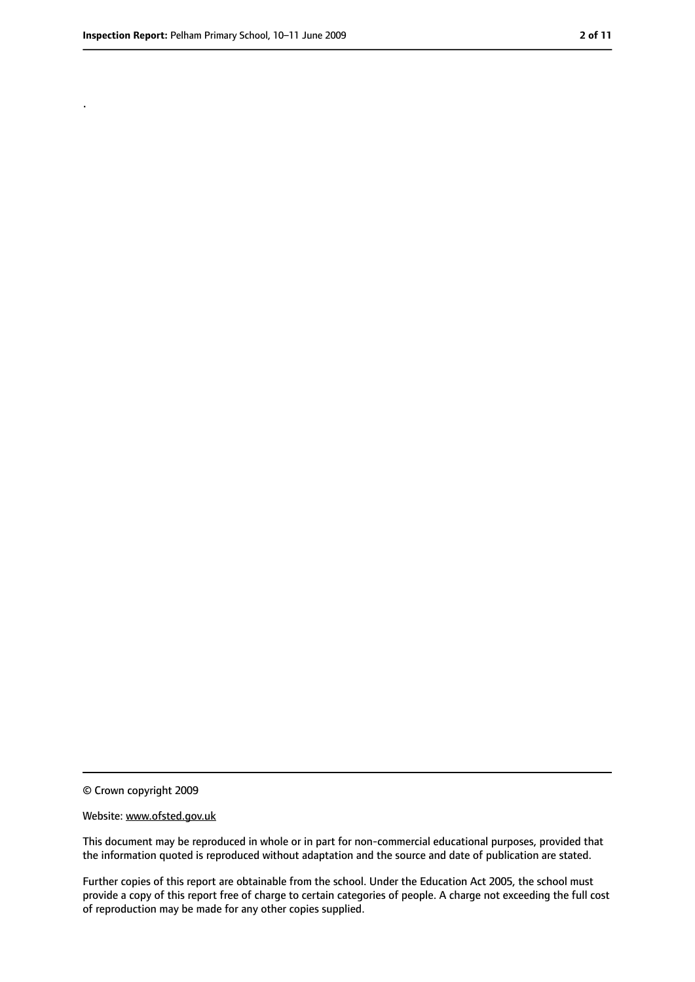.

<sup>©</sup> Crown copyright 2009

Website: www.ofsted.gov.uk

This document may be reproduced in whole or in part for non-commercial educational purposes, provided that the information quoted is reproduced without adaptation and the source and date of publication are stated.

Further copies of this report are obtainable from the school. Under the Education Act 2005, the school must provide a copy of this report free of charge to certain categories of people. A charge not exceeding the full cost of reproduction may be made for any other copies supplied.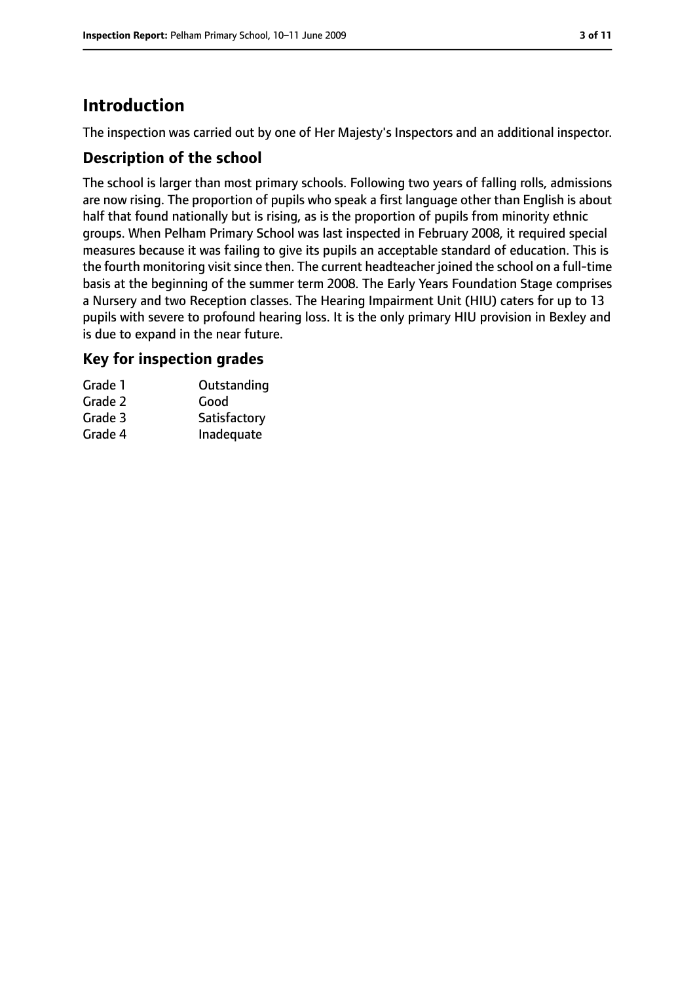# **Introduction**

The inspection was carried out by one of Her Majesty's Inspectors and an additional inspector.

#### **Description of the school**

The school is larger than most primary schools. Following two years of falling rolls, admissions are now rising. The proportion of pupils who speak a first language other than English is about half that found nationally but is rising, as is the proportion of pupils from minority ethnic groups. When Pelham Primary School was last inspected in February 2008, it required special measures because it was failing to give its pupils an acceptable standard of education. This is the fourth monitoring visit since then. The current headteacher joined the school on a full-time basis at the beginning of the summer term 2008. The Early Years Foundation Stage comprises a Nursery and two Reception classes. The Hearing Impairment Unit (HIU) caters for up to 13 pupils with severe to profound hearing loss. It is the only primary HIU provision in Bexley and is due to expand in the near future.

#### **Key for inspection grades**

| Grade 1 | Outstanding  |
|---------|--------------|
| Grade 2 | Good         |
| Grade 3 | Satisfactory |
| Grade 4 | Inadequate   |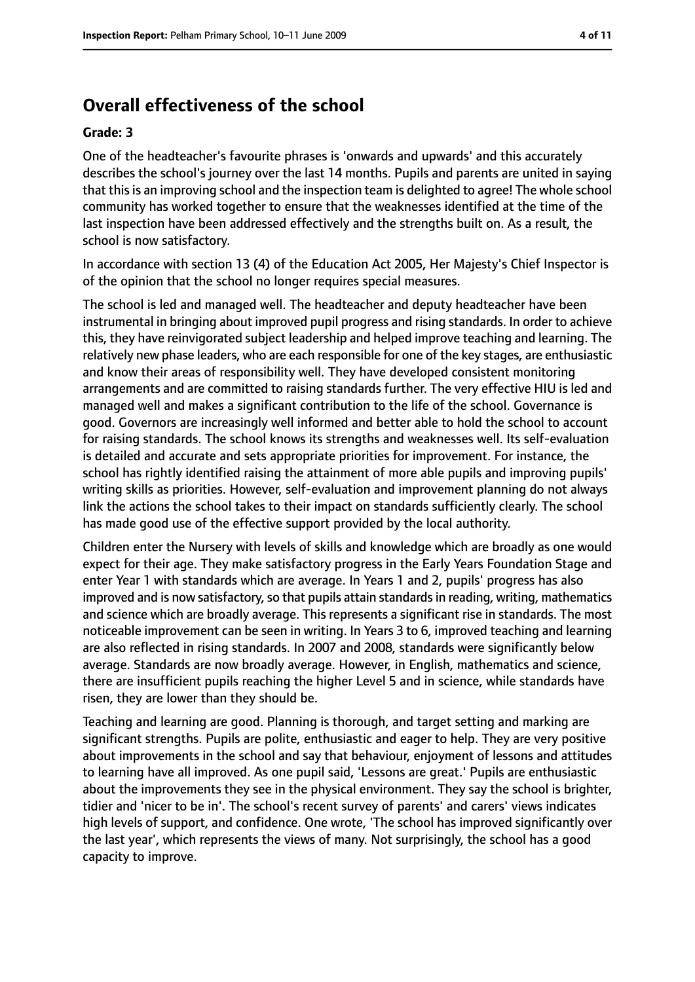# **Overall effectiveness of the school**

#### **Grade: 3**

One of the headteacher's favourite phrases is 'onwards and upwards' and this accurately describes the school's journey over the last 14 months. Pupils and parents are united in saying that thisis an improving school and the inspection team is delighted to agree! The whole school community has worked together to ensure that the weaknesses identified at the time of the last inspection have been addressed effectively and the strengths built on. As a result, the school is now satisfactory.

In accordance with section 13 (4) of the Education Act 2005, Her Majesty's Chief Inspector is of the opinion that the school no longer requires special measures.

The school is led and managed well. The headteacher and deputy headteacher have been instrumental in bringing about improved pupil progress and rising standards. In order to achieve this, they have reinvigorated subject leadership and helped improve teaching and learning. The relatively new phase leaders, who are each responsible for one of the key stages, are enthusiastic and know their areas of responsibility well. They have developed consistent monitoring arrangements and are committed to raising standards further. The very effective HIU is led and managed well and makes a significant contribution to the life of the school. Governance is good. Governors are increasingly well informed and better able to hold the school to account for raising standards. The school knows its strengths and weaknesses well. Its self-evaluation is detailed and accurate and sets appropriate priorities for improvement. For instance, the school has rightly identified raising the attainment of more able pupils and improving pupils' writing skills as priorities. However, self-evaluation and improvement planning do not always link the actions the school takes to their impact on standards sufficiently clearly. The school has made good use of the effective support provided by the local authority.

Children enter the Nursery with levels of skills and knowledge which are broadly as one would expect for their age. They make satisfactory progress in the Early Years Foundation Stage and enter Year 1 with standards which are average. In Years 1 and 2, pupils' progress has also improved and is now satisfactory, so that pupils attain standards in reading, writing, mathematics and science which are broadly average. This represents a significant rise in standards. The most noticeable improvement can be seen in writing. In Years 3 to 6, improved teaching and learning are also reflected in rising standards. In 2007 and 2008, standards were significantly below average. Standards are now broadly average. However, in English, mathematics and science, there are insufficient pupils reaching the higher Level 5 and in science, while standards have risen, they are lower than they should be.

Teaching and learning are good. Planning is thorough, and target setting and marking are significant strengths. Pupils are polite, enthusiastic and eager to help. They are very positive about improvements in the school and say that behaviour, enjoyment of lessons and attitudes to learning have all improved. As one pupil said, 'Lessons are great.' Pupils are enthusiastic about the improvements they see in the physical environment. They say the school is brighter, tidier and 'nicer to be in'. The school's recent survey of parents' and carers' views indicates high levels of support, and confidence. One wrote, 'The school has improved significantly over the last year', which represents the views of many. Not surprisingly, the school has a good capacity to improve.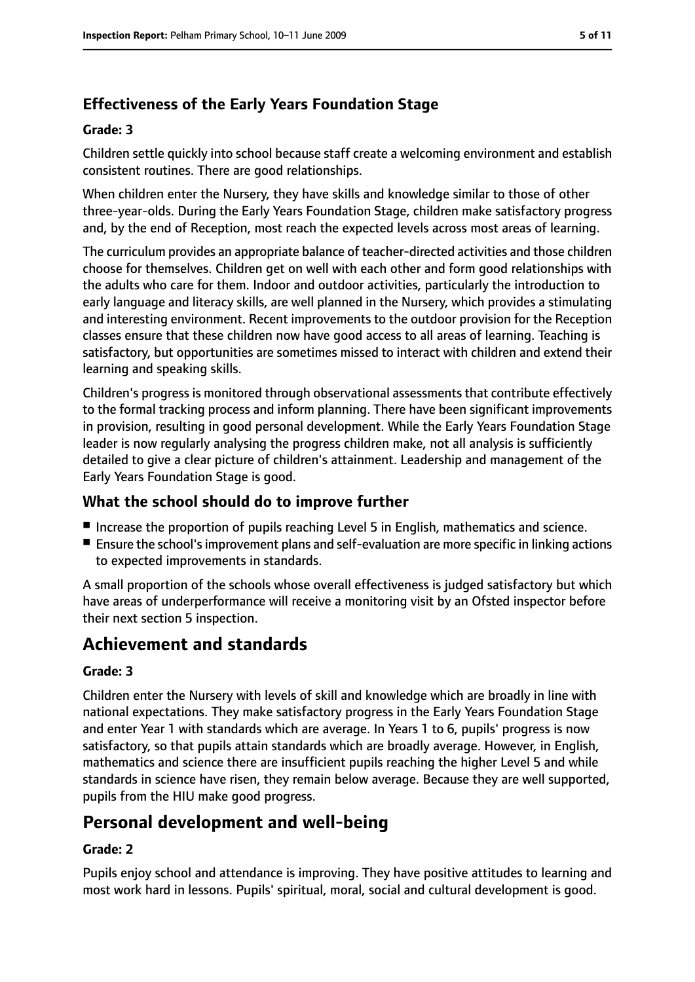# **Effectiveness of the Early Years Foundation Stage**

#### **Grade: 3**

Children settle quickly into school because staff create a welcoming environment and establish consistent routines. There are good relationships.

When children enter the Nursery, they have skills and knowledge similar to those of other three-year-olds. During the Early Years Foundation Stage, children make satisfactory progress and, by the end of Reception, most reach the expected levels across most areas of learning.

The curriculum provides an appropriate balance of teacher-directed activities and those children choose for themselves. Children get on well with each other and form good relationships with the adults who care for them. Indoor and outdoor activities, particularly the introduction to early language and literacy skills, are well planned in the Nursery, which provides a stimulating and interesting environment. Recent improvements to the outdoor provision for the Reception classes ensure that these children now have good access to all areas of learning. Teaching is satisfactory, but opportunities are sometimes missed to interact with children and extend their learning and speaking skills.

Children's progress is monitored through observational assessments that contribute effectively to the formal tracking process and inform planning. There have been significant improvements in provision, resulting in good personal development. While the Early Years Foundation Stage leader is now regularly analysing the progress children make, not all analysis is sufficiently detailed to give a clear picture of children's attainment. Leadership and management of the Early Years Foundation Stage is good.

#### **What the school should do to improve further**

- Increase the proportion of pupils reaching Level 5 in English, mathematics and science.
- Ensure the school's improvement plans and self-evaluation are more specific in linking actions to expected improvements in standards.

A small proportion of the schools whose overall effectiveness is judged satisfactory but which have areas of underperformance will receive a monitoring visit by an Ofsted inspector before their next section 5 inspection.

# **Achievement and standards**

#### **Grade: 3**

Children enter the Nursery with levels of skill and knowledge which are broadly in line with national expectations. They make satisfactory progress in the Early Years Foundation Stage and enter Year 1 with standards which are average. In Years 1 to 6, pupils' progress is now satisfactory, so that pupils attain standards which are broadly average. However, in English, mathematics and science there are insufficient pupils reaching the higher Level 5 and while standards in science have risen, they remain below average. Because they are well supported, pupils from the HIU make good progress.

# **Personal development and well-being**

#### **Grade: 2**

Pupils enjoy school and attendance is improving. They have positive attitudes to learning and most work hard in lessons. Pupils' spiritual, moral, social and cultural development is good.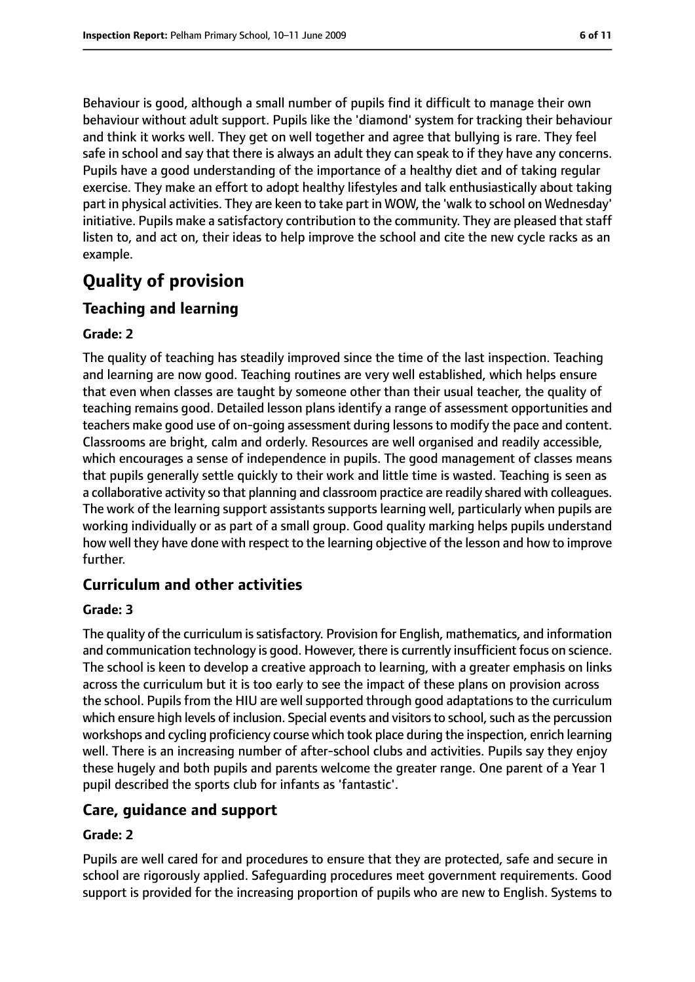Behaviour is good, although a small number of pupils find it difficult to manage their own behaviour without adult support. Pupils like the 'diamond' system for tracking their behaviour and think it works well. They get on well together and agree that bullying is rare. They feel safe in school and say that there is always an adult they can speak to if they have any concerns. Pupils have a good understanding of the importance of a healthy diet and of taking regular exercise. They make an effort to adopt healthy lifestyles and talk enthusiastically about taking part in physical activities. They are keen to take part in WOW, the 'walk to school on Wednesday' initiative. Pupils make a satisfactory contribution to the community. They are pleased that staff listen to, and act on, their ideas to help improve the school and cite the new cycle racks as an example.

# **Quality of provision**

#### **Teaching and learning**

#### **Grade: 2**

The quality of teaching has steadily improved since the time of the last inspection. Teaching and learning are now good. Teaching routines are very well established, which helps ensure that even when classes are taught by someone other than their usual teacher, the quality of teaching remains good. Detailed lesson plans identify a range of assessment opportunities and teachers make good use of on-going assessment during lessonsto modify the pace and content. Classrooms are bright, calm and orderly. Resources are well organised and readily accessible, which encourages a sense of independence in pupils. The good management of classes means that pupils generally settle quickly to their work and little time is wasted. Teaching is seen as a collaborative activity so that planning and classroom practice are readily shared with colleagues. The work of the learning support assistants supports learning well, particularly when pupils are working individually or as part of a small group. Good quality marking helps pupils understand how well they have done with respect to the learning objective of the lesson and how to improve further.

#### **Curriculum and other activities**

#### **Grade: 3**

The quality of the curriculum issatisfactory. Provision for English, mathematics, and information and communication technology is good. However, there is currently insufficient focus on science. The school is keen to develop a creative approach to learning, with a greater emphasis on links across the curriculum but it is too early to see the impact of these plans on provision across the school. Pupils from the HIU are well supported through good adaptations to the curriculum which ensure high levels of inclusion. Special events and visitors to school, such as the percussion workshops and cycling proficiency course which took place during the inspection, enrich learning well. There is an increasing number of after-school clubs and activities. Pupils say they enjoy these hugely and both pupils and parents welcome the greater range. One parent of a Year 1 pupil described the sports club for infants as 'fantastic'.

#### **Care, guidance and support**

#### **Grade: 2**

Pupils are well cared for and procedures to ensure that they are protected, safe and secure in school are rigorously applied. Safeguarding procedures meet government requirements. Good support is provided for the increasing proportion of pupils who are new to English. Systems to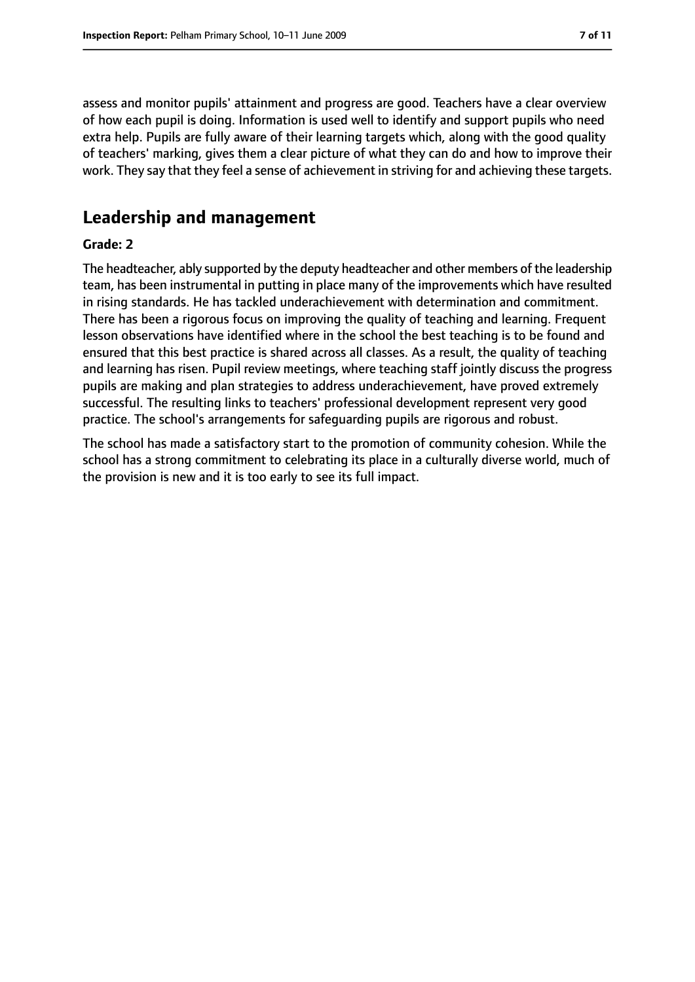assess and monitor pupils' attainment and progress are good. Teachers have a clear overview of how each pupil is doing. Information is used well to identify and support pupils who need extra help. Pupils are fully aware of their learning targets which, along with the good quality of teachers' marking, gives them a clear picture of what they can do and how to improve their work. They say that they feel a sense of achievement in striving for and achieving these targets.

## **Leadership and management**

#### **Grade: 2**

The headteacher, ably supported by the deputy headteacher and other members of the leadership team, has been instrumental in putting in place many of the improvements which have resulted in rising standards. He has tackled underachievement with determination and commitment. There has been a rigorous focus on improving the quality of teaching and learning. Frequent lesson observations have identified where in the school the best teaching is to be found and ensured that this best practice is shared across all classes. As a result, the quality of teaching and learning has risen. Pupil review meetings, where teaching staff jointly discuss the progress pupils are making and plan strategies to address underachievement, have proved extremely successful. The resulting links to teachers' professional development represent very good practice. The school's arrangements for safeguarding pupils are rigorous and robust.

The school has made a satisfactory start to the promotion of community cohesion. While the school has a strong commitment to celebrating its place in a culturally diverse world, much of the provision is new and it is too early to see its full impact.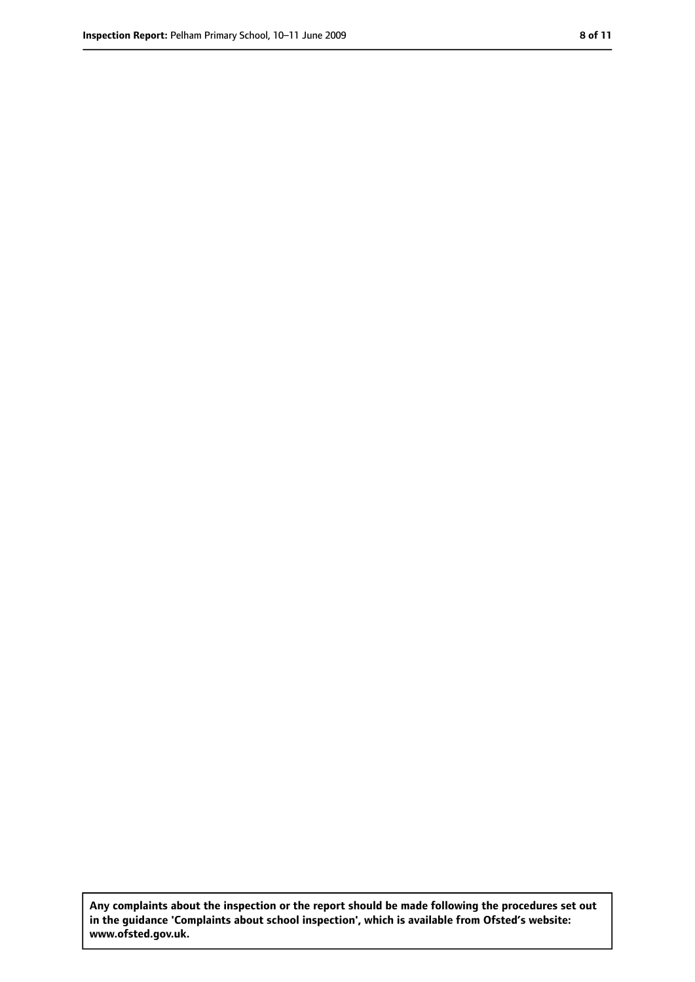**Any complaints about the inspection or the report should be made following the procedures set out in the guidance 'Complaints about school inspection', which is available from Ofsted's website: www.ofsted.gov.uk.**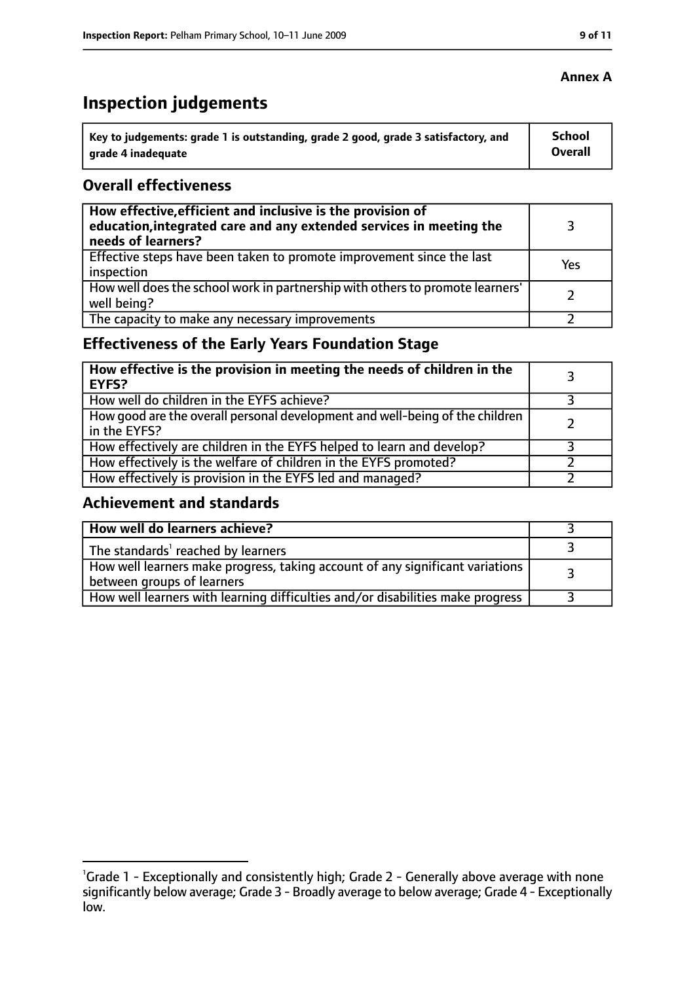# **Inspection judgements**

| key to judgements: grade 1 is outstanding, grade 2 good, grade 3 satisfactory, and ا | School         |
|--------------------------------------------------------------------------------------|----------------|
| arade 4 inadequate                                                                   | <b>Overall</b> |

#### **Overall effectiveness**

| How effective, efficient and inclusive is the provision of<br>education, integrated care and any extended services in meeting the<br>needs of learners? |     |
|---------------------------------------------------------------------------------------------------------------------------------------------------------|-----|
| Effective steps have been taken to promote improvement since the last<br>inspection                                                                     | Yes |
| How well does the school work in partnership with others to promote learners'<br>well being?                                                            |     |
| The capacity to make any necessary improvements                                                                                                         |     |

## **Effectiveness of the Early Years Foundation Stage**

| How effective is the provision in meeting the needs of children in the<br>l EYFS?            |  |
|----------------------------------------------------------------------------------------------|--|
| How well do children in the EYFS achieve?                                                    |  |
| How good are the overall personal development and well-being of the children<br>in the EYFS? |  |
| How effectively are children in the EYFS helped to learn and develop?                        |  |
| How effectively is the welfare of children in the EYFS promoted?                             |  |
| How effectively is provision in the EYFS led and managed?                                    |  |

#### **Achievement and standards**

| How well do learners achieve?                                                  |  |
|--------------------------------------------------------------------------------|--|
| $\vert$ The standards <sup>1</sup> reached by learners                         |  |
| How well learners make progress, taking account of any significant variations  |  |
| between groups of learners                                                     |  |
| How well learners with learning difficulties and/or disabilities make progress |  |

#### **Annex A**

<sup>&</sup>lt;sup>1</sup>Grade 1 - Exceptionally and consistently high; Grade 2 - Generally above average with none significantly below average; Grade 3 - Broadly average to below average; Grade 4 - Exceptionally low.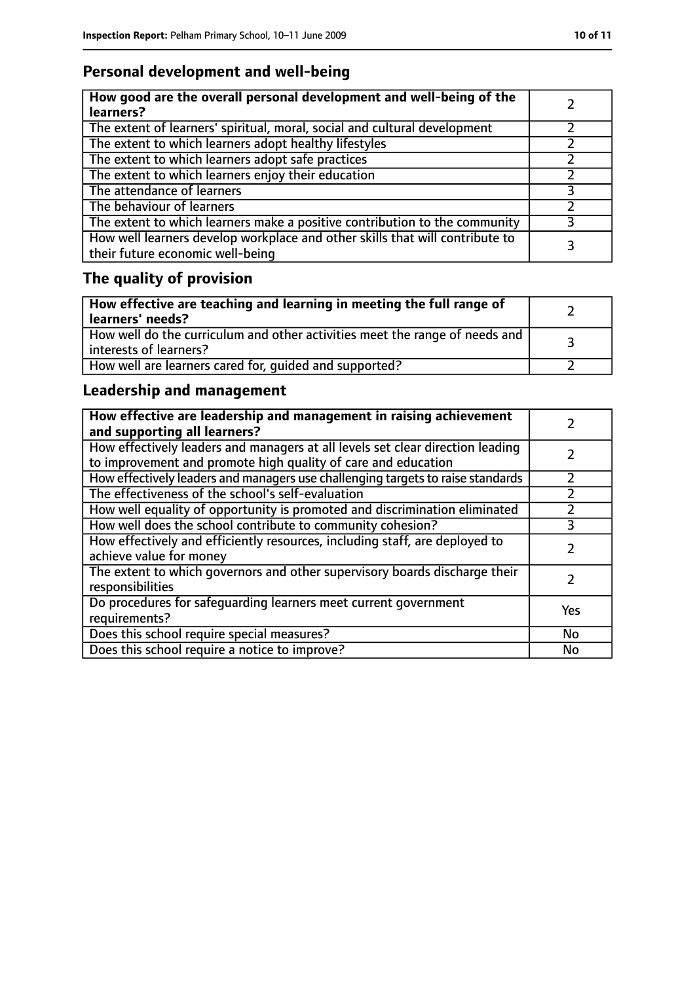## **Personal development and well-being**

| How good are the overall personal development and well-being of the<br>learners?                                 |  |
|------------------------------------------------------------------------------------------------------------------|--|
| The extent of learners' spiritual, moral, social and cultural development                                        |  |
| The extent to which learners adopt healthy lifestyles                                                            |  |
| The extent to which learners adopt safe practices                                                                |  |
| The extent to which learners enjoy their education                                                               |  |
| The attendance of learners                                                                                       |  |
| The behaviour of learners                                                                                        |  |
| The extent to which learners make a positive contribution to the community                                       |  |
| How well learners develop workplace and other skills that will contribute to<br>their future economic well-being |  |

# **The quality of provision**

| How effective are teaching and learning in meeting the full range of<br>learners' needs?                |  |
|---------------------------------------------------------------------------------------------------------|--|
| How well do the curriculum and other activities meet the range of needs and<br>  interests of learners? |  |
| How well are learners cared for, quided and supported?                                                  |  |

## **Leadership and management**

| How effective are leadership and management in raising achievement<br>and supporting all learners?                                              |     |
|-------------------------------------------------------------------------------------------------------------------------------------------------|-----|
| How effectively leaders and managers at all levels set clear direction leading<br>to improvement and promote high quality of care and education |     |
| How effectively leaders and managers use challenging targets to raise standards                                                                 |     |
| The effectiveness of the school's self-evaluation                                                                                               |     |
| How well equality of opportunity is promoted and discrimination eliminated                                                                      |     |
| How well does the school contribute to community cohesion?                                                                                      | 3   |
| How effectively and efficiently resources, including staff, are deployed to<br>achieve value for money                                          |     |
| The extent to which governors and other supervisory boards discharge their<br>responsibilities                                                  |     |
| Do procedures for safeguarding learners meet current government<br>requirements?                                                                | Yes |
| Does this school require special measures?                                                                                                      | No  |
| Does this school require a notice to improve?                                                                                                   | No  |